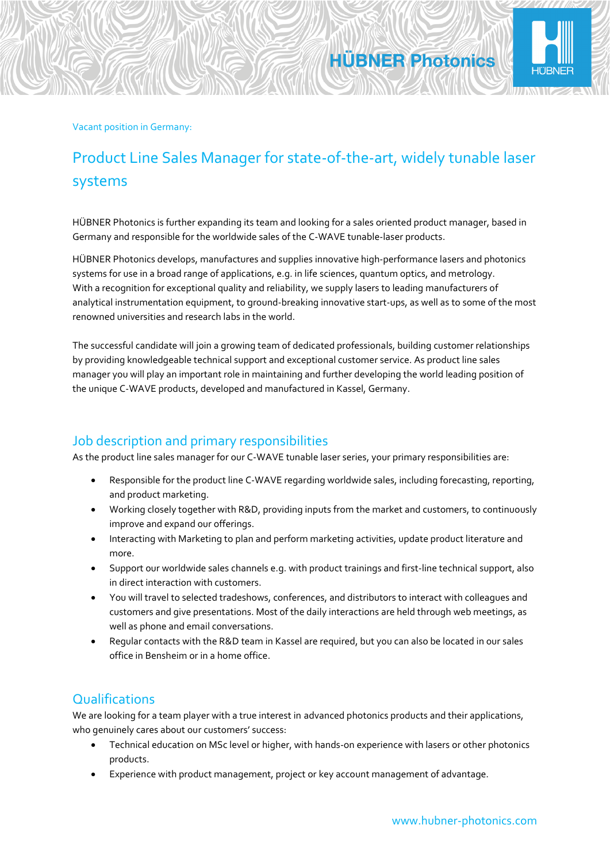

## Product Line Sales Manager for state-of-the-art, widely tunable laser systems

**HÜBNER Photonics** 

HÜBNER Photonics is further expanding its team and looking for a sales oriented product manager, based in Germany and responsible for the worldwide sales of the C-WAVE tunable-laser products.

HÜBNER Photonics develops, manufactures and supplies innovative high-performance lasers and photonics systems for use in a broad range of applications, e.g. in life sciences, quantum optics, and metrology. With a recognition for exceptional quality and reliability, we supply lasers to leading manufacturers of analytical instrumentation equipment, to ground-breaking innovative start-ups, as well as to some of the most renowned universities and research labs in the world.

The successful candidate will join a growing team of dedicated professionals, building customer relationships by providing knowledgeable technical support and exceptional customer service. As product line sales manager you will play an important role in maintaining and further developing the world leading position of the unique C-WAVE products, developed and manufactured in Kassel, Germany.

### Job description and primary responsibilities

As the product line sales manager for our C-WAVE tunable laser series, your primary responsibilities are:

- Responsible for the product line C-WAVE regarding worldwide sales, including forecasting, reporting, and product marketing.
- Working closely together with R&D, providing inputs from the market and customers, to continuously improve and expand our offerings.
- Interacting with Marketing to plan and perform marketing activities, update product literature and more.
- Support our worldwide sales channels e.g. with product trainings and first-line technical support, also in direct interaction with customers.
- You will travel to selected tradeshows, conferences, and distributors to interact with colleagues and customers and give presentations. Most of the daily interactions are held through web meetings, as well as phone and email conversations.
- Regular contacts with the R&D team in Kassel are required, but you can also be located in our sales office in Bensheim or in a home office.

### **Qualifications**

We are looking for a team player with a true interest in advanced photonics products and their applications, who genuinely cares about our customers' success:

- Technical education on MSc level or higher, with hands-on experience with lasers or other photonics products.
- Experience with product management, project or key account management of advantage.